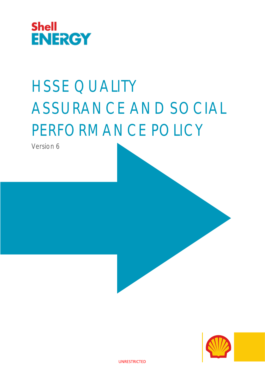

# HSSE QUALITY ASSURANCE AND SOCIAL PERFORMANCE POLICY

Version 6



UNRESTRICTED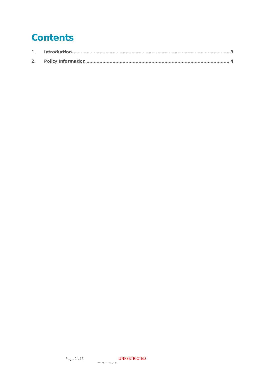## Contents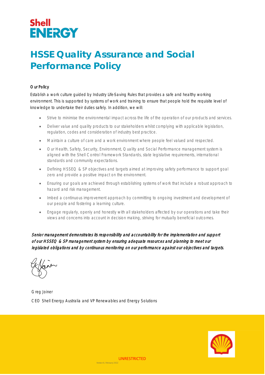## **Shell ENERGY**

### **HSSE Quality Assurance and Social Performance Policy**

#### Our Policy

Establish a work culture guided by Industry Life-Saving Rules that provides a safe and healthy working environment. This is supported by systems of work and training to ensure that people hold the requisite level of knowledge to undertake their duties safely. In addition, we will:

- Strive to minimise the environmental impact across the life of the operation of our products and services.
- Deliver value and quality products to our stakeholders whilst complying with applicable legislation, regulation, codes and consideration of industry best practice.
- Maintain a culture of care and a work environment where people feel valued and respected.
- Our Health, Safety, Security, Environment, Quality and Social Performance management system is aligned with the Shell Control Framework Standards, state legislative requirements, international standards and community expectations.
- Defining HSSEQ & SP objectives and targets aimed at improving safety performance to support goal zero and provide a positive impact on the environment.
- Ensuring our goals are achieved through establishing systems of work that include a robust approach to hazard and risk management.
- Imbed a continuous improvement approach by committing to ongoing investment and development of our people and fostering a learning culture.
- Engage regularly, openly and honestly with all stakeholders affected by our operations and take their views and concerns into account in decision making, striving for mutually beneficial outcomes.

Senior management demonstrates its responsibility and accountability for the implementation and support of our HSSEQ & SP management system by ensuring adequate resources and planning to meet our legislated obligations and by continuous monitoring on our performance against our objectives and targets.

Greg Joiner CEO Shell Energy Australia and VP Renewables and Energy Solutions



Version 6, February 2022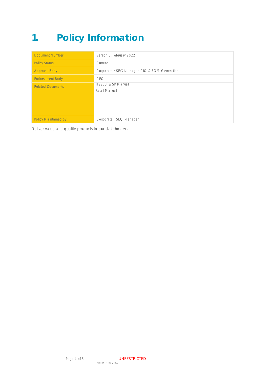## **1. Policy Information**

| <b>Document Number</b>       | Version 6, February 2022                     |
|------------------------------|----------------------------------------------|
| <b>Policy Status</b>         | Current                                      |
| <b>Approval Body</b>         | Corporate HSEQ Manager, CIO & EGM Generation |
| <b>Endorsement Body</b>      | CFO                                          |
| <b>Related Documents</b>     | HSSEQ & SP Manual<br>Retail Manual           |
| <b>Policy Maintained by:</b> | Corporate HSEQ Manager                       |

Deliver value and quality products to our stakeholders